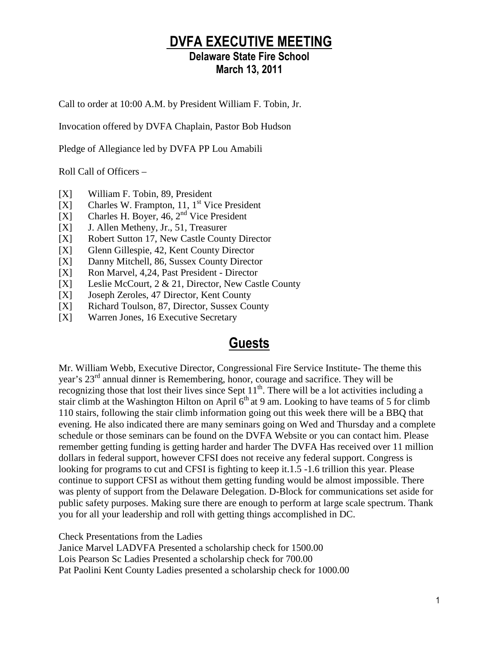## DVFA EXECUTIVE MEETING

### Delaware State Fire School March 13, 2011

Call to order at 10:00 A.M. by President William F. Tobin, Jr.

Invocation offered by DVFA Chaplain, Pastor Bob Hudson

Pledge of Allegiance led by DVFA PP Lou Amabili

Roll Call of Officers –

- [X] William F. Tobin, 89, President
- $[X]$  Charles W. Frampton, 11, 1<sup>st</sup> Vice President
- [X] Charles H. Boyer,  $46, 2<sup>nd</sup>$  Vice President
- [X] J. Allen Metheny, Jr., 51, Treasurer
- [X] Robert Sutton 17, New Castle County Director
- [X] Glenn Gillespie, 42, Kent County Director
- [X] Danny Mitchell, 86, Sussex County Director
- [X] Ron Marvel, 4,24, Past President Director
- [X] Leslie McCourt, 2 & 21, Director, New Castle County
- [X] Joseph Zeroles, 47 Director, Kent County
- [X] Richard Toulson, 87, Director, Sussex County
- [X] Warren Jones, 16 Executive Secretary

## Guests

Mr. William Webb, Executive Director, Congressional Fire Service Institute- The theme this year's 23rd annual dinner is Remembering, honor, courage and sacrifice. They will be recognizing those that lost their lives since Sept 11<sup>th</sup>. There will be a lot activities including a stair climb at the Washington Hilton on April 6<sup>th</sup> at 9 am. Looking to have teams of 5 for climb 110 stairs, following the stair climb information going out this week there will be a BBQ that evening. He also indicated there are many seminars going on Wed and Thursday and a complete schedule or those seminars can be found on the DVFA Website or you can contact him. Please remember getting funding is getting harder and harder The DVFA Has received over 11 million dollars in federal support, however CFSI does not receive any federal support. Congress is looking for programs to cut and CFSI is fighting to keep it.1.5 -1.6 trillion this year. Please continue to support CFSI as without them getting funding would be almost impossible. There was plenty of support from the Delaware Delegation. D-Block for communications set aside for public safety purposes. Making sure there are enough to perform at large scale spectrum. Thank you for all your leadership and roll with getting things accomplished in DC.

Check Presentations from the Ladies

Janice Marvel LADVFA Presented a scholarship check for 1500.00 Lois Pearson Sc Ladies Presented a scholarship check for 700.00 Pat Paolini Kent County Ladies presented a scholarship check for 1000.00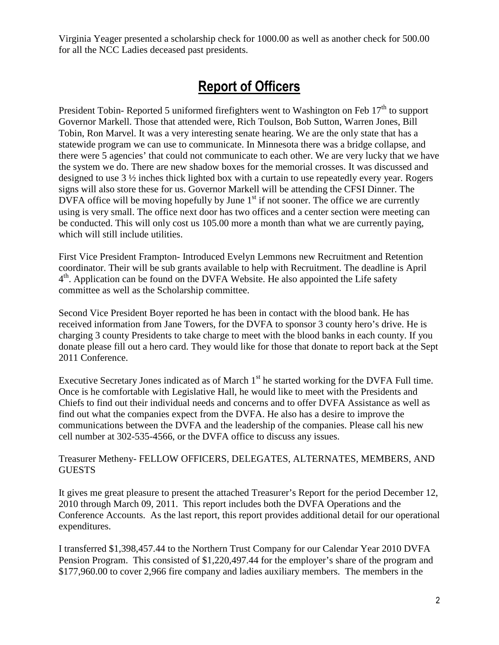Virginia Yeager presented a scholarship check for 1000.00 as well as another check for 500.00 for all the NCC Ladies deceased past presidents.

## Report of Officers

President Tobin- Reported 5 uniformed firefighters went to Washington on Feb 17<sup>th</sup> to support Governor Markell. Those that attended were, Rich Toulson, Bob Sutton, Warren Jones, Bill Tobin, Ron Marvel. It was a very interesting senate hearing. We are the only state that has a statewide program we can use to communicate. In Minnesota there was a bridge collapse, and there were 5 agencies' that could not communicate to each other. We are very lucky that we have the system we do. There are new shadow boxes for the memorial crosses. It was discussed and designed to use 3 ½ inches thick lighted box with a curtain to use repeatedly every year. Rogers signs will also store these for us. Governor Markell will be attending the CFSI Dinner. The DVFA office will be moving hopefully by June  $1<sup>st</sup>$  if not sooner. The office we are currently using is very small. The office next door has two offices and a center section were meeting can be conducted. This will only cost us 105.00 more a month than what we are currently paying, which will still include utilities.

First Vice President Frampton- Introduced Evelyn Lemmons new Recruitment and Retention coordinator. Their will be sub grants available to help with Recruitment. The deadline is April 4<sup>th</sup>. Application can be found on the DVFA Website. He also appointed the Life safety committee as well as the Scholarship committee.

Second Vice President Boyer reported he has been in contact with the blood bank. He has received information from Jane Towers, for the DVFA to sponsor 3 county hero's drive. He is charging 3 county Presidents to take charge to meet with the blood banks in each county. If you donate please fill out a hero card. They would like for those that donate to report back at the Sept 2011 Conference.

Executive Secretary Jones indicated as of March  $1<sup>st</sup>$  he started working for the DVFA Full time. Once is he comfortable with Legislative Hall, he would like to meet with the Presidents and Chiefs to find out their individual needs and concerns and to offer DVFA Assistance as well as find out what the companies expect from the DVFA. He also has a desire to improve the communications between the DVFA and the leadership of the companies. Please call his new cell number at 302-535-4566, or the DVFA office to discuss any issues.

#### Treasurer Metheny- FELLOW OFFICERS, DELEGATES, ALTERNATES, MEMBERS, AND **GUESTS**

It gives me great pleasure to present the attached Treasurer's Report for the period December 12, 2010 through March 09, 2011. This report includes both the DVFA Operations and the Conference Accounts. As the last report, this report provides additional detail for our operational expenditures.

I transferred \$1,398,457.44 to the Northern Trust Company for our Calendar Year 2010 DVFA Pension Program. This consisted of \$1,220,497.44 for the employer's share of the program and \$177,960.00 to cover 2,966 fire company and ladies auxiliary members. The members in the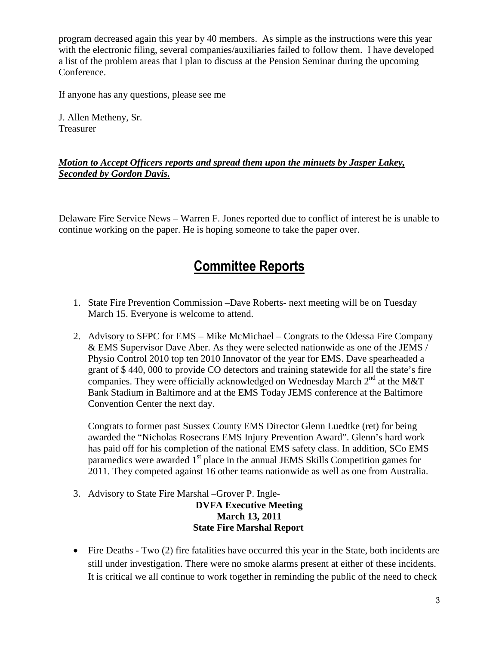program decreased again this year by 40 members. As simple as the instructions were this year with the electronic filing, several companies/auxiliaries failed to follow them. I have developed a list of the problem areas that I plan to discuss at the Pension Seminar during the upcoming Conference.

If anyone has any questions, please see me

J. Allen Metheny, Sr. Treasurer

### *Motion to Accept Officers reports and spread them upon the minuets by Jasper Lakey, Seconded by Gordon Davis.*

Delaware Fire Service News – Warren F. Jones reported due to conflict of interest he is unable to continue working on the paper. He is hoping someone to take the paper over.

## Committee Reports

- 1. State Fire Prevention Commission –Dave Roberts- next meeting will be on Tuesday March 15. Everyone is welcome to attend.
- 2. Advisory to SFPC for EMS Mike McMichael Congrats to the Odessa Fire Company & EMS Supervisor Dave Aber. As they were selected nationwide as one of the JEMS / Physio Control 2010 top ten 2010 Innovator of the year for EMS. Dave spearheaded a grant of \$ 440, 000 to provide CO detectors and training statewide for all the state's fire companies. They were officially acknowledged on Wednesday March  $2<sup>nd</sup>$  at the M&T Bank Stadium in Baltimore and at the EMS Today JEMS conference at the Baltimore Convention Center the next day.

Congrats to former past Sussex County EMS Director Glenn Luedtke (ret) for being awarded the "Nicholas Rosecrans EMS Injury Prevention Award". Glenn's hard work has paid off for his completion of the national EMS safety class. In addition, SCo EMS paramedics were awarded  $1<sup>st</sup>$  place in the annual JEMS Skills Competition games for 2011. They competed against 16 other teams nationwide as well as one from Australia.

3. Advisory to State Fire Marshal –Grover P. Ingle-

**DVFA Executive Meeting March 13, 2011 State Fire Marshal Report** 

• Fire Deaths - Two (2) fire fatalities have occurred this year in the State, both incidents are still under investigation. There were no smoke alarms present at either of these incidents. It is critical we all continue to work together in reminding the public of the need to check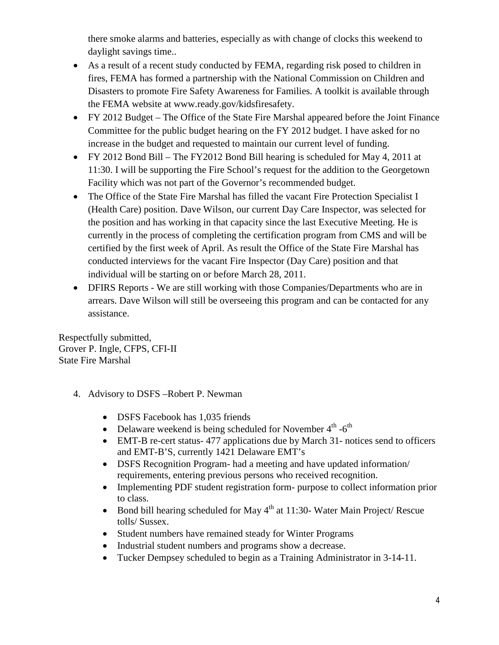there smoke alarms and batteries, especially as with change of clocks this weekend to daylight savings time..

- As a result of a recent study conducted by FEMA, regarding risk posed to children in fires, FEMA has formed a partnership with the National Commission on Children and Disasters to promote Fire Safety Awareness for Families. A toolkit is available through the FEMA website at www.ready.gov/kidsfiresafety.
- FY 2012 Budget The Office of the State Fire Marshal appeared before the Joint Finance Committee for the public budget hearing on the FY 2012 budget. I have asked for no increase in the budget and requested to maintain our current level of funding.
- FY 2012 Bond Bill The FY2012 Bond Bill hearing is scheduled for May 4, 2011 at 11:30. I will be supporting the Fire School's request for the addition to the Georgetown Facility which was not part of the Governor's recommended budget.
- The Office of the State Fire Marshal has filled the vacant Fire Protection Specialist I (Health Care) position. Dave Wilson, our current Day Care Inspector, was selected for the position and has working in that capacity since the last Executive Meeting. He is currently in the process of completing the certification program from CMS and will be certified by the first week of April. As result the Office of the State Fire Marshal has conducted interviews for the vacant Fire Inspector (Day Care) position and that individual will be starting on or before March 28, 2011.
- DFIRS Reports We are still working with those Companies/Departments who are in arrears. Dave Wilson will still be overseeing this program and can be contacted for any assistance.

Respectfully submitted, Grover P. Ingle, CFPS, CFI-II State Fire Marshal

- 4. Advisory to DSFS –Robert P. Newman
	- DSFS Facebook has 1,035 friends
	- Delaware weekend is being scheduled for November  $4<sup>th</sup> -6<sup>th</sup>$
	- EMT-B re-cert status- 477 applications due by March 31- notices send to officers and EMT-B'S, currently 1421 Delaware EMT's
	- DSFS Recognition Program- had a meeting and have updated information/ requirements, entering previous persons who received recognition.
	- Implementing PDF student registration form- purpose to collect information prior to class.
	- Bond bill hearing scheduled for May  $4<sup>th</sup>$  at 11:30- Water Main Project/ Rescue tolls/ Sussex.
	- Student numbers have remained steady for Winter Programs
	- Industrial student numbers and programs show a decrease.
	- Tucker Dempsey scheduled to begin as a Training Administrator in 3-14-11.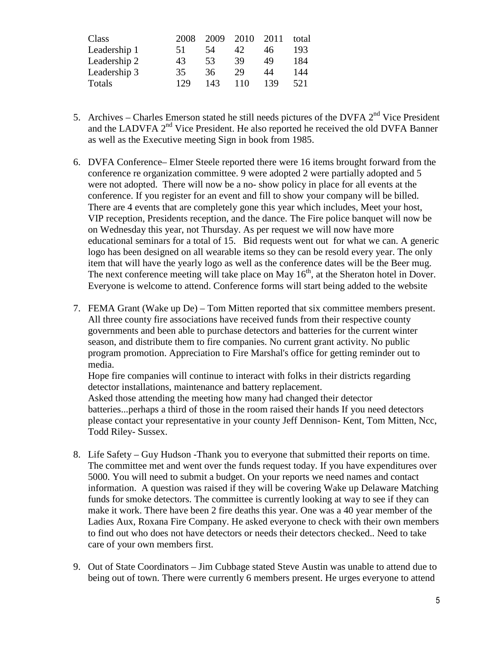| Class        | 2008 | 2009 | 2010 | 2011 | total |
|--------------|------|------|------|------|-------|
| Leadership 1 | 51   | 54   | 42   | 46   | 193   |
| Leadership 2 | 43   | 53   | 39   | 49   | 184   |
| Leadership 3 | 35   | 36   | 29   | 44   | 144   |
| Totals       | 129  | 143  | 110  | 139  | 521   |

- 5. Archives Charles Emerson stated he still needs pictures of the DVFA  $2<sup>nd</sup>$  Vice President and the LADVFA 2<sup>nd</sup> Vice President. He also reported he received the old DVFA Banner as well as the Executive meeting Sign in book from 1985.
- 6. DVFA Conference– Elmer Steele reported there were 16 items brought forward from the conference re organization committee. 9 were adopted 2 were partially adopted and 5 were not adopted. There will now be a no- show policy in place for all events at the conference. If you register for an event and fill to show your company will be billed. There are 4 events that are completely gone this year which includes, Meet your host, VIP reception, Presidents reception, and the dance. The Fire police banquet will now be on Wednesday this year, not Thursday. As per request we will now have more educational seminars for a total of 15. Bid requests went out for what we can. A generic logo has been designed on all wearable items so they can be resold every year. The only item that will have the yearly logo as well as the conference dates will be the Beer mug. The next conference meeting will take place on May 16<sup>th</sup>, at the Sheraton hotel in Dover. Everyone is welcome to attend. Conference forms will start being added to the website
- 7. FEMA Grant (Wake up De) Tom Mitten reported that six committee members present. All three county fire associations have received funds from their respective county governments and been able to purchase detectors and batteries for the current winter season, and distribute them to fire companies. No current grant activity. No public program promotion. Appreciation to Fire Marshal's office for getting reminder out to media.

Hope fire companies will continue to interact with folks in their districts regarding detector installations, maintenance and battery replacement.

Asked those attending the meeting how many had changed their detector batteries...perhaps a third of those in the room raised their hands If you need detectors please contact your representative in your county Jeff Dennison- Kent, Tom Mitten, Ncc, Todd Riley- Sussex.

- 8. Life Safety Guy Hudson -Thank you to everyone that submitted their reports on time. The committee met and went over the funds request today. If you have expenditures over 5000. You will need to submit a budget. On your reports we need names and contact information. A question was raised if they will be covering Wake up Delaware Matching funds for smoke detectors. The committee is currently looking at way to see if they can make it work. There have been 2 fire deaths this year. One was a 40 year member of the Ladies Aux, Roxana Fire Company. He asked everyone to check with their own members to find out who does not have detectors or needs their detectors checked.. Need to take care of your own members first.
- 9. Out of State Coordinators Jim Cubbage stated Steve Austin was unable to attend due to being out of town. There were currently 6 members present. He urges everyone to attend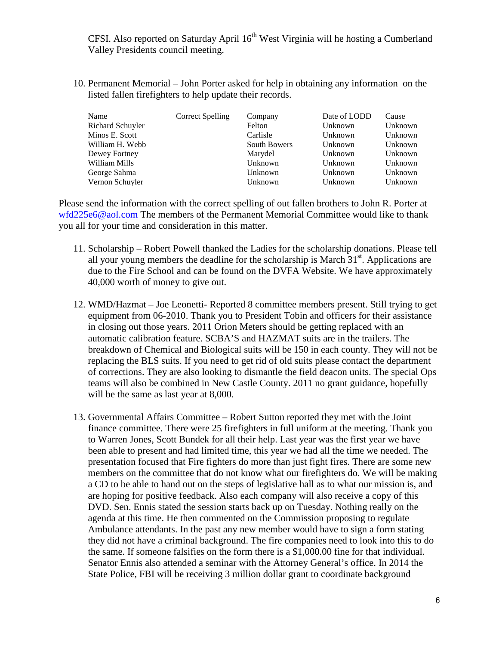CFSI. Also reported on Saturday April 16<sup>th</sup> West Virginia will he hosting a Cumberland Valley Presidents council meeting.

10. Permanent Memorial – John Porter asked for help in obtaining any information on the listed fallen firefighters to help update their records.

| Name             | <b>Correct Spelling</b> | Company      | Date of LODD | Cause   |
|------------------|-------------------------|--------------|--------------|---------|
| Richard Schuyler |                         | Felton       | Unknown      | Unknown |
| Minos E. Scott   |                         | Carlisle     | Unknown      | Unknown |
| William H. Webb  |                         | South Bowers | Unknown      | Unknown |
| Dewey Fortney    |                         | Marydel      | Unknown      | Unknown |
| William Mills    |                         | Unknown      | Unknown      | Unknown |
| George Sahma     |                         | Unknown      | Unknown      | Unknown |
| Vernon Schuyler  |                         | Unknown      | Unknown      | Unknown |

Please send the information with the correct spelling of out fallen brothers to John R. Porter at wfd225e6@aol.com The members of the Permanent Memorial Committee would like to thank you all for your time and consideration in this matter.

- 11. Scholarship Robert Powell thanked the Ladies for the scholarship donations. Please tell all your young members the deadline for the scholarship is March  $31<sup>st</sup>$ . Applications are due to the Fire School and can be found on the DVFA Website. We have approximately 40,000 worth of money to give out.
- 12. WMD/Hazmat Joe Leonetti- Reported 8 committee members present. Still trying to get equipment from 06-2010. Thank you to President Tobin and officers for their assistance in closing out those years. 2011 Orion Meters should be getting replaced with an automatic calibration feature. SCBA'S and HAZMAT suits are in the trailers. The breakdown of Chemical and Biological suits will be 150 in each county. They will not be replacing the BLS suits. If you need to get rid of old suits please contact the department of corrections. They are also looking to dismantle the field deacon units. The special Ops teams will also be combined in New Castle County. 2011 no grant guidance, hopefully will be the same as last year at 8,000.
- 13. Governmental Affairs Committee Robert Sutton reported they met with the Joint finance committee. There were 25 firefighters in full uniform at the meeting. Thank you to Warren Jones, Scott Bundek for all their help. Last year was the first year we have been able to present and had limited time, this year we had all the time we needed. The presentation focused that Fire fighters do more than just fight fires. There are some new members on the committee that do not know what our firefighters do. We will be making a CD to be able to hand out on the steps of legislative hall as to what our mission is, and are hoping for positive feedback. Also each company will also receive a copy of this DVD. Sen. Ennis stated the session starts back up on Tuesday. Nothing really on the agenda at this time. He then commented on the Commission proposing to regulate Ambulance attendants. In the past any new member would have to sign a form stating they did not have a criminal background. The fire companies need to look into this to do the same. If someone falsifies on the form there is a \$1,000.00 fine for that individual. Senator Ennis also attended a seminar with the Attorney General's office. In 2014 the State Police, FBI will be receiving 3 million dollar grant to coordinate background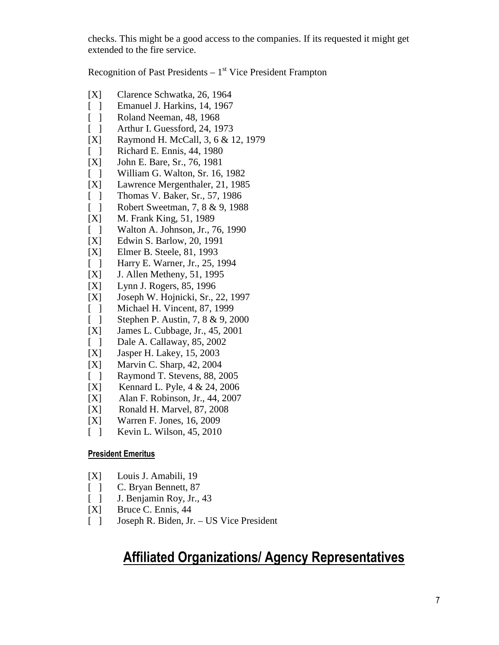checks. This might be a good access to the companies. If its requested it might get extended to the fire service.

Recognition of Past Presidents  $-1<sup>st</sup>$  Vice President Frampton

- [X] Clarence Schwatka, 26, 1964
- [ ] Emanuel J. Harkins, 14, 1967
- 
- [ ] Roland Neeman, 48, 1968<br>[ ] Arthur I. Guessford, 24, 19 Arthur I. Guessford, 24, 1973
- [X] Raymond H. McCall, 3, 6 & 12, 1979
- [ ] Richard E. Ennis, 44, 1980
- [X] John E. Bare, Sr., 76, 1981
- [ ] William G. Walton, Sr. 16, 1982
- [X] Lawrence Mergenthaler, 21, 1985
- [ ] Thomas V. Baker, Sr., 57, 1986
- [ ] Robert Sweetman, 7, 8 & 9, 1988
- [X] M. Frank King, 51, 1989<br>[ ] Walton A. Johnson, Jr., 7
- Walton A. Johnson, Jr., 76, 1990
- [X] Edwin S. Barlow, 20, 1991
- [X] Elmer B. Steele, 81, 1993
- [ ] Harry E. Warner, Jr., 25, 1994
- [X] J. Allen Metheny, 51, 1995
- [X] Lynn J. Rogers, 85, 1996
- [X] Joseph W. Hojnicki, Sr., 22, 1997
- [ ] Michael H. Vincent, 87, 1999
- [ ] Stephen P. Austin, 7, 8 & 9, 2000
- [X] James L. Cubbage, Jr., 45, 2001
- [ ] Dale A. Callaway, 85, 2002
- [X] Jasper H. Lakey, 15, 2003
- [X] Marvin C. Sharp, 42, 2004
- [ ] Raymond T. Stevens, 88, 2005
- [X] Kennard L. Pyle, 4 & 24, 2006
- [X] Alan F. Robinson, Jr., 44, 2007
- [X] Ronald H. Marvel, 87, 2008
- [X] Warren F. Jones, 16, 2009
- [ ] Kevin L. Wilson, 45, 2010

### President Emeritus

- [X] Louis J. Amabili, 19
- [ ] C. Bryan Bennett, 87
- [ ] J. Benjamin Roy, Jr., 43
- [X] Bruce C. Ennis, 44
- [ ] Joseph R. Biden, Jr. US Vice President

## Affiliated Organizations/ Agency Representatives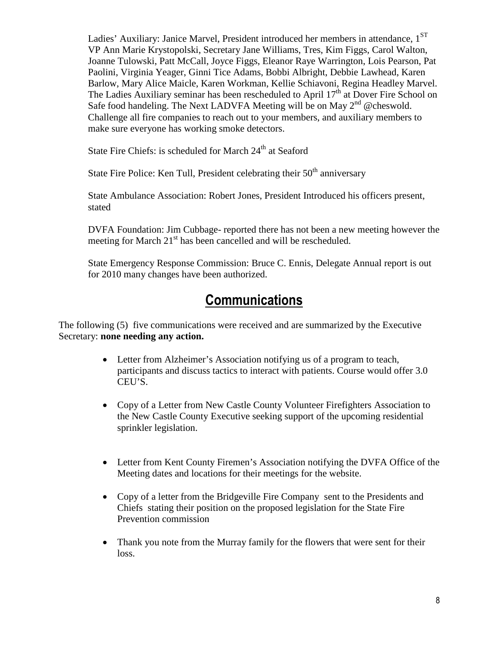Ladies' Auxiliary: Janice Marvel, President introduced her members in attendance,  $1^{ST}$ VP Ann Marie Krystopolski, Secretary Jane Williams, Tres, Kim Figgs, Carol Walton, Joanne Tulowski, Patt McCall, Joyce Figgs, Eleanor Raye Warrington, Lois Pearson, Pat Paolini, Virginia Yeager, Ginni Tice Adams, Bobbi Albright, Debbie Lawhead, Karen Barlow, Mary Alice Maicle, Karen Workman, Kellie Schiavoni, Regina Headley Marvel. The Ladies Auxiliary seminar has been rescheduled to April  $17<sup>th</sup>$  at Dover Fire School on Safe food handeling. The Next LADVFA Meeting will be on May 2<sup>nd</sup> @cheswold. Challenge all fire companies to reach out to your members, and auxiliary members to make sure everyone has working smoke detectors.

State Fire Chiefs: is scheduled for March  $24<sup>th</sup>$  at Seaford

State Fire Police: Ken Tull, President celebrating their  $50<sup>th</sup>$  anniversary

State Ambulance Association: Robert Jones, President Introduced his officers present, stated

DVFA Foundation: Jim Cubbage- reported there has not been a new meeting however the meeting for March  $21<sup>st</sup>$  has been cancelled and will be rescheduled.

State Emergency Response Commission: Bruce C. Ennis, Delegate Annual report is out for 2010 many changes have been authorized.

## **Communications**

The following (5) five communications were received and are summarized by the Executive Secretary: **none needing any action.**

- Letter from Alzheimer's Association notifying us of a program to teach, participants and discuss tactics to interact with patients. Course would offer 3.0 CEU'S.
- Copy of a Letter from New Castle County Volunteer Firefighters Association to the New Castle County Executive seeking support of the upcoming residential sprinkler legislation.
- Letter from Kent County Firemen's Association notifying the DVFA Office of the Meeting dates and locations for their meetings for the website.
- Copy of a letter from the Bridgeville Fire Company sent to the Presidents and Chiefs stating their position on the proposed legislation for the State Fire Prevention commission
- Thank you note from the Murray family for the flowers that were sent for their loss.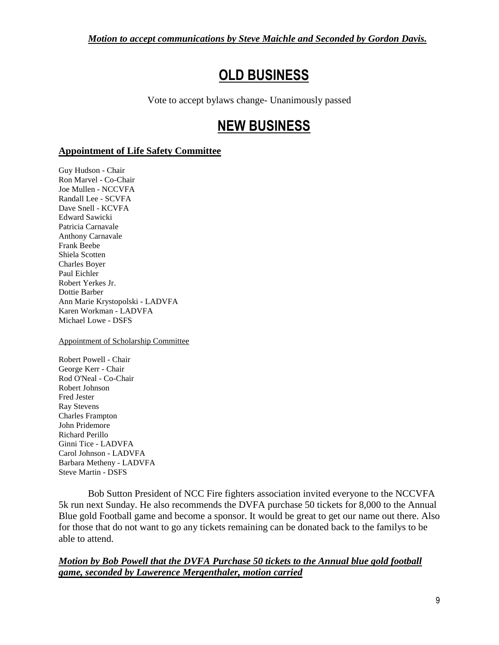*Motion to accept communications by Steve Maichle and Seconded by Gordon Davis.*

# OLD BUSINESS

Vote to accept bylaws change- Unanimously passed

# NEW BUSINESS

### **Appointment of Life Safety Committee**

Guy Hudson - Chair Ron Marvel - Co-Chair Joe Mullen - NCCVFA Randall Lee - SCVFA Dave Snell - KCVFA Edward Sawicki Patricia Carnavale Anthony Carnavale Frank Beebe Shiela Scotten Charles Boyer Paul Eichler Robert Yerkes Jr. Dottie Barber Ann Marie Krystopolski - LADVFA Karen Workman - LADVFA Michael Lowe - DSFS

Appointment of Scholarship Committee

Robert Powell - Chair George Kerr - Chair Rod O'Neal - Co-Chair Robert Johnson Fred Jester Ray Stevens Charles Frampton John Pridemore Richard Perillo Ginni Tice - LADVFA Carol Johnson - LADVFA Barbara Metheny - LADVFA Steve Martin - DSFS

 Bob Sutton President of NCC Fire fighters association invited everyone to the NCCVFA 5k run next Sunday. He also recommends the DVFA purchase 50 tickets for 8,000 to the Annual Blue gold Football game and become a sponsor. It would be great to get our name out there. Also for those that do not want to go any tickets remaining can be donated back to the familys to be able to attend.

*Motion by Bob Powell that the DVFA Purchase 50 tickets to the Annual blue gold football game, seconded by Lawerence Mergenthaler, motion carried*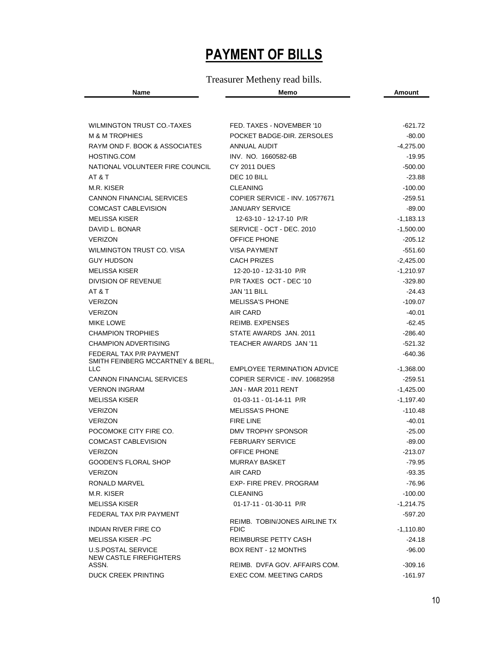# PAYMENT OF BILLS

### Treasurer Metheny read bills.

|  |  | ___ |
|--|--|-----|
|  |  |     |

| WILMINGTON TRUST CO.-TAXES                     | FED. TAXES - NOVEMBER '10                    | -621.72     |
|------------------------------------------------|----------------------------------------------|-------------|
| <b>M &amp; M TROPHIES</b>                      | POCKET BADGE-DIR. ZERSOLES                   | $-80.00$    |
| RAYM OND F. BOOK & ASSOCIATES                  | ANNUAL AUDIT                                 | $-4,275.00$ |
| HOSTING.COM                                    | INV. NO. 1660582-6B                          | $-19.95$    |
| NATIONAL VOLUNTEER FIRE COUNCIL                | <b>CY 2011 DUES</b>                          | $-500.00$   |
| AT & T                                         | DEC 10 BILL                                  | $-23.88$    |
| M.R. KISER                                     | <b>CLEANING</b>                              | $-100.00$   |
| <b>CANNON FINANCIAL SERVICES</b>               | COPIER SERVICE - INV. 10577671               | $-259.51$   |
| COMCAST CABLEVISION                            | <b>JANUARY SERVICE</b>                       | $-89.00$    |
| <b>MELISSA KISER</b>                           | 12-63-10 - 12-17-10 P/R                      | $-1,183.13$ |
| DAVID L. BONAR                                 | SERVICE - OCT - DEC. 2010                    | $-1,500.00$ |
| <b>VERIZON</b>                                 | <b>OFFICE PHONE</b>                          | $-205.12$   |
| WILMINGTON TRUST CO. VISA                      | <b>VISA PAYMENT</b>                          | $-551.60$   |
| <b>GUY HUDSON</b>                              | <b>CACH PRIZES</b>                           | $-2,425.00$ |
| <b>MELISSA KISER</b>                           | 12-20-10 - 12-31-10 P/R                      | $-1,210.97$ |
| DIVISION OF REVENUE                            | P/R TAXES OCT - DEC '10                      | $-329.80$   |
| AT & T                                         | JAN '11 BILL                                 | $-24.43$    |
| <b>VERIZON</b>                                 | <b>MELISSA'S PHONE</b>                       | $-109.07$   |
| <b>VERIZON</b>                                 | AIR CARD                                     | $-40.01$    |
| <b>MIKE LOWE</b>                               | <b>REIMB. EXPENSES</b>                       | $-62.45$    |
| <b>CHAMPION TROPHIES</b>                       | STATE AWARDS JAN. 2011                       | -286.40     |
| <b>CHAMPION ADVERTISING</b>                    | TEACHER AWARDS JAN '11                       | $-521.32$   |
|                                                |                                              |             |
| FEDERAL TAX P/R PAYMENT                        |                                              | $-640.36$   |
| SMITH FEINBERG MCCARTNEY & BERL,<br><b>LLC</b> | <b>EMPLOYEE TERMINATION ADVICE</b>           | $-1,368.00$ |
| <b>CANNON FINANCIAL SERVICES</b>               | COPIER SERVICE - INV. 10682958               | $-259.51$   |
| <b>VERNON INGRAM</b>                           | JAN - MAR 2011 RENT                          | $-1,425.00$ |
| <b>MELISSA KISER</b>                           | 01-03-11 - 01-14-11 P/R                      | $-1,197.40$ |
| <b>VERIZON</b>                                 | <b>MELISSA'S PHONE</b>                       | $-110.48$   |
| <b>VERIZON</b>                                 | <b>FIRE LINE</b>                             | $-40.01$    |
| POCOMOKE CITY FIRE CO.                         | DMV TROPHY SPONSOR                           | $-25.00$    |
| <b>COMCAST CABLEVISION</b>                     | <b>FEBRUARY SERVICE</b>                      | $-89.00$    |
| <b>VERIZON</b>                                 | <b>OFFICE PHONE</b>                          | $-213.07$   |
| <b>GOODEN'S FLORAL SHOP</b>                    | <b>MURRAY BASKET</b>                         | $-79.95$    |
| <b>VERIZON</b>                                 | AIR CARD                                     | $-93.35$    |
| RONALD MARVEL                                  | EXP- FIRE PREV. PROGRAM                      | -76.96      |
| M.R. KISER                                     | <b>CLEANING</b>                              | $-100.00$   |
| <b>MELISSA KISER</b>                           | 01-17-11 - 01-30-11 P/R                      | $-1,214.75$ |
| FEDERAL TAX P/R PAYMENT                        |                                              | -597.20     |
| <b>INDIAN RIVER FIRE CO</b>                    | REIMB. TOBIN/JONES AIRLINE TX<br><b>FDIC</b> | $-1,110.80$ |
| <b>MELISSA KISER - PC</b>                      | REIMBURSE PETTY CASH                         | -24.18      |
| <b>U.S.POSTAL SERVICE</b>                      | BOX RENT - 12 MONTHS                         | $-96.00$    |
| NEW CASTLE FIREFIGHTERS<br>ASSN.               | REIMB. DVFA GOV. AFFAIRS COM.                | $-309.16$   |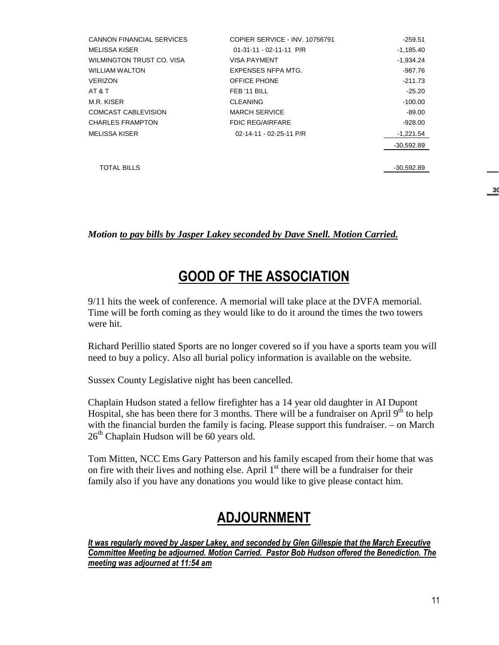| <b>CANNON FINANCIAL SERVICES</b> | COPIER SERVICE - INV. 10756791 | $-259.51$    |
|----------------------------------|--------------------------------|--------------|
| <b>MELISSA KISER</b>             | $01-31-11 - 02-11-11 P/R$      | $-1,185.40$  |
| WILMINGTON TRUST CO. VISA        | <b>VISA PAYMENT</b>            | $-1,934.24$  |
| <b>WILLIAM WALTON</b>            | EXPENSES NFPA MTG.             | -987.76      |
| <b>VERIZON</b>                   | OFFICE PHONE                   | $-211.73$    |
| AT & T                           | FEB '11 BILL                   | $-25.20$     |
| M.R. KISER                       | <b>CLEANING</b>                | $-100.00$    |
| <b>COMCAST CABLEVISION</b>       | <b>MARCH SERVICE</b>           | $-89.00$     |
| <b>CHARLES FRAMPTON</b>          | <b>FDIC REG/AIRFARE</b>        | $-928.00$    |
| <b>MELISSA KISER</b>             | 02-14-11 - 02-25-11 P/R        | -1,221.54    |
|                                  |                                | $-30.592.89$ |
|                                  |                                |              |
| <b>TOTAL BILLS</b>               |                                | -30,592.89   |

#### *Motion to pay bills by Jasper Lakey seconded by Dave Snell. Motion Carried.*

## GOOD OF THE ASSOCIATION

9/11 hits the week of conference. A memorial will take place at the DVFA memorial. Time will be forth coming as they would like to do it around the times the two towers were hit.

Richard Perillio stated Sports are no longer covered so if you have a sports team you will need to buy a policy. Also all burial policy information is available on the website.

Sussex County Legislative night has been cancelled.

Chaplain Hudson stated a fellow firefighter has a 14 year old daughter in AI Dupont Hospital, she has been there for 3 months. There will be a fundraiser on April  $9<sup>th</sup>$  to help with the financial burden the family is facing. Please support this fundraiser. – on March  $26<sup>th</sup>$  Chaplain Hudson will be 60 years old.

Tom Mitten, NCC Ems Gary Patterson and his family escaped from their home that was on fire with their lives and nothing else. April  $1<sup>st</sup>$  there will be a fundraiser for their family also if you have any donations you would like to give please contact him.

## ADJOURNMENT

It was regularly moved by Jasper Lakey, and seconded by Glen Gillespie that the March Executive Committee Meeting be adjourned. Motion Carried. Pastor Bob Hudson offered the Benediction. The meeting was adjourned at 11:54 am